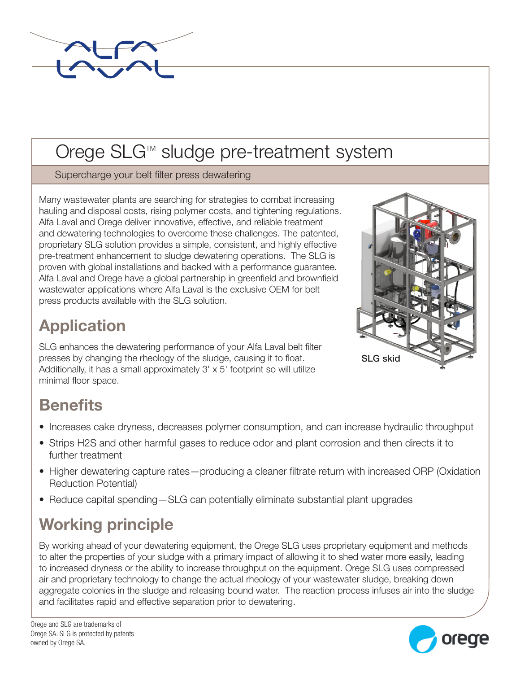

## Orege SLG™ sludge pre-treatment system

Supercharge your belt filter press dewatering

Many wastewater plants are searching for strategies to combat increasing hauling and disposal costs, rising polymer costs, and tightening regulations. Alfa Laval and Orege deliver innovative, effective, and reliable treatment and dewatering technologies to overcome these challenges. The patented, proprietary SLG solution provides a simple, consistent, and highly effective pre-treatment enhancement to sludge dewatering operations. The SLG is proven with global installations and backed with a performance guarantee. Alfa Laval and Orege have a global partnership in greenfield and brownfield wastewater applications where Alfa Laval is the exclusive OEM for belt press products available with the SLG solution.

## **Application**

SLG enhances the dewatering performance of your Alfa Laval belt filter presses by changing the rheology of the sludge, causing it to float. Additionally, it has a small approximately 3' x 5' footprint so will utilize minimal floor space.



## **Benefits**

- Increases cake dryness, decreases polymer consumption, and can increase hydraulic throughput
- Strips H2S and other harmful gases to reduce odor and plant corrosion and then directs it to further treatment
- Higher dewatering capture rates—producing a cleaner filtrate return with increased ORP (Oxidation Reduction Potential)
- Reduce capital spending—SLG can potentially eliminate substantial plant upgrades

## Working principle

By working ahead of your dewatering equipment, the Orege SLG uses proprietary equipment and methods to alter the properties of your sludge with a primary impact of allowing it to shed water more easily, leading to increased dryness or the ability to increase throughput on the equipment. Orege SLG uses compressed air and proprietary technology to change the actual rheology of your wastewater sludge, breaking down aggregate colonies in the sludge and releasing bound water. The reaction process infuses air into the sludge and facilitates rapid and effective separation prior to dewatering.